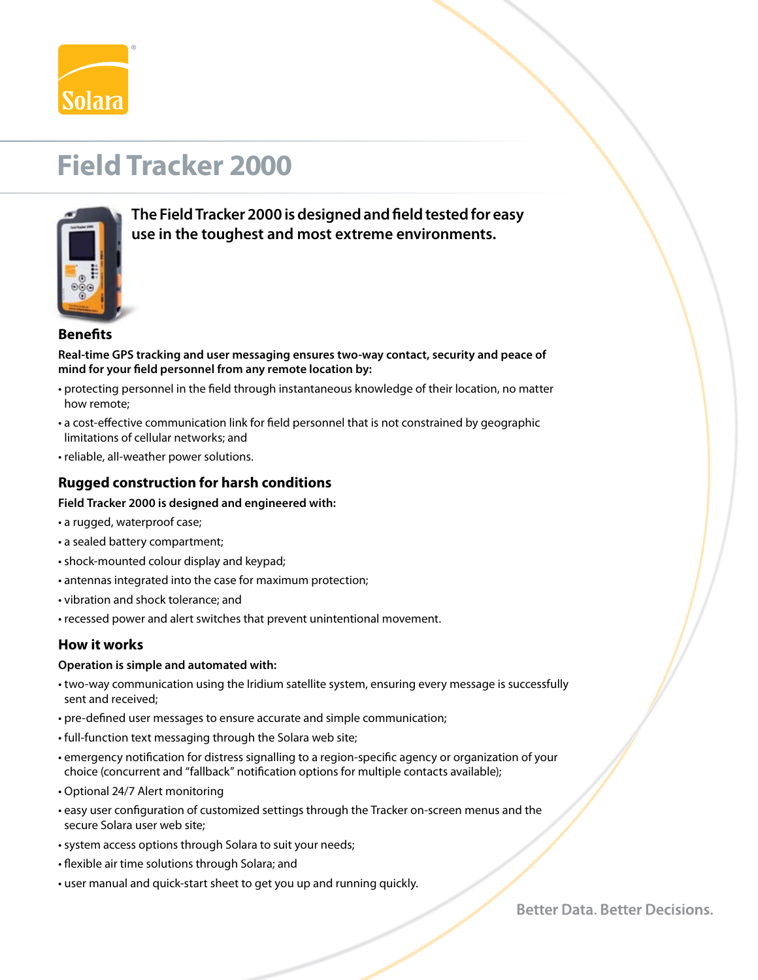

# **Field Tracker 2000**



 **The Field Tracker 2000 is designed and field tested for easy use in the toughest and most extreme environments.** 

## **Benefits**

**Real-time GPS tracking and user messaging ensures two-way contact, security and peace of mind for your field personnel from any remote location by:**

- protecting personnel in the field through instantaneous knowledge of their location, no matter how remote;
- a cost-effective communication link for field personnel that is not constrained by geographic limitations of cellular networks; and
- reliable, all-weather power solutions.

# **Rugged construction for harsh conditions**

#### **Field Tracker 2000 is designed and engineered with:**

- a rugged, waterproof case;
- a sealed battery compartment;
- shock-mounted colour display and keypad;
- antennas integrated into the case for maximum protection;
- vibration and shock tolerance; and
- recessed power and alert switches that prevent unintentional movement.

### **How it works**

#### **Operation is simple and automated with:**

- two-way communication using the Iridium satellite system, ensuring every message is successfully sent and received;
- pre-defined user messages to ensure accurate and simple communication;
- full-function text messaging through the Solara web site;
- emergency notification for distress signalling to a region-specific agency or organization of your choice (concurrent and "fallback" notification options for multiple contacts available);
- Optional 24/7 Alert monitoring
- easy user configuration of customized settings through the Tracker on-screen menus and the secure Solara user web site;
- system access options through Solara to suit your needs;
- flexible air time solutions through Solara; and
- user manual and quick-start sheet to get you up and running quickly.

**Better Data, Better Decisions.**